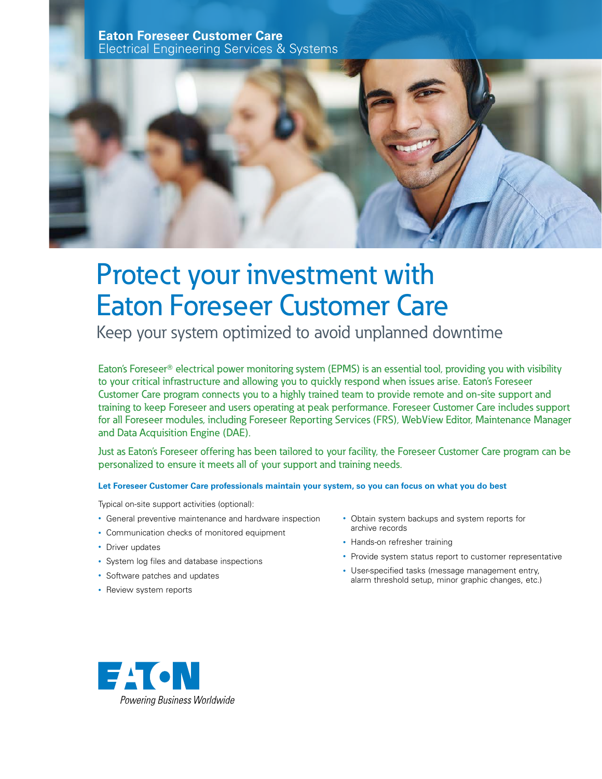**Eaton Foreseer Customer Care** Electrical Engineering Services & Systems



# Protect your investment with Eaton Foreseer Customer Care

Keep your system optimized to avoid unplanned downtime

Eaton's Foreseer<sup>®</sup> electrical power monitoring system (EPMS) is an essential tool, providing you with visibility to your critical infrastructure and allowing you to quickly respond when issues arise. Eaton's Foreseer Customer Care program connects you to a highly trained team to provide remote and on-site support and training to keep Foreseer and users operating at peak performance. Foreseer Customer Care includes support for all Foreseer modules, including Foreseer Reporting Services (FRS), WebView Editor, Maintenance Manager and Data Acquisition Engine (DAE).

Just as Eaton's Foreseer offering has been tailored to your facility, the Foreseer Customer Care program can be personalized to ensure it meets all of your support and training needs.

# **Let Foreseer Customer Care professionals maintain your system, so you can focus on what you do best**

Typical on-site support activities (optional):

- General preventive maintenance and hardware inspection
- Communication checks of monitored equipment
- Driver updates
- System log files and database inspections
- Software patches and updates
- Review system reports
- Obtain system backups and system reports for archive records
- Hands-on refresher training
- Provide system status report to customer representative
- User-specified tasks (message management entry, alarm threshold setup, minor graphic changes, etc.)